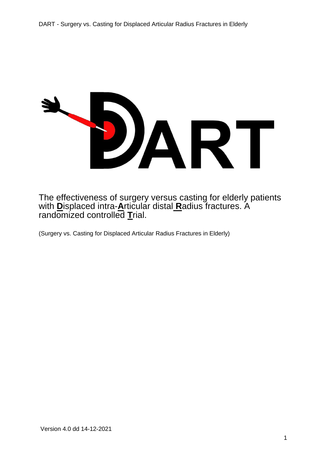

The effectiveness of surgery versus casting for elderly patients with **D**isplaced intra-**A**rticular distal **R**adius fractures. A randomized controlled **T**rial.

(Surgery vs. Casting for Displaced Articular Radius Fractures in Elderly)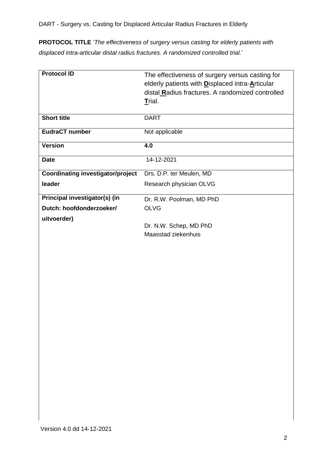**PROTOCOL TITLE** '*The effectiveness of surgery versus casting for elderly patients with displaced intra-articular distal radius fractures. A randomized controlled trial.*'

| <b>Protocol ID</b>                       | The effectiveness of surgery versus casting for<br>elderly patients with Displaced intra-Articular<br>distal Radius fractures. A randomized controlled<br>Trial. |
|------------------------------------------|------------------------------------------------------------------------------------------------------------------------------------------------------------------|
| <b>Short title</b>                       | <b>DART</b>                                                                                                                                                      |
| <b>EudraCT number</b>                    | Not applicable                                                                                                                                                   |
| <b>Version</b>                           | 4.0                                                                                                                                                              |
| <b>Date</b>                              | 14-12-2021                                                                                                                                                       |
| <b>Coordinating investigator/project</b> | Drs. D.P. ter Meulen, MD                                                                                                                                         |
| leader                                   | Research physician OLVG                                                                                                                                          |
| Principal investigator(s) (in            | Dr. R.W. Poolman, MD PhD                                                                                                                                         |
| Dutch: hoofdonderzoeker/                 | <b>OLVG</b>                                                                                                                                                      |
| uitvoerder)                              |                                                                                                                                                                  |
|                                          | Dr. N.W. Schep, MD PhD                                                                                                                                           |
|                                          | Maasstad ziekenhuis                                                                                                                                              |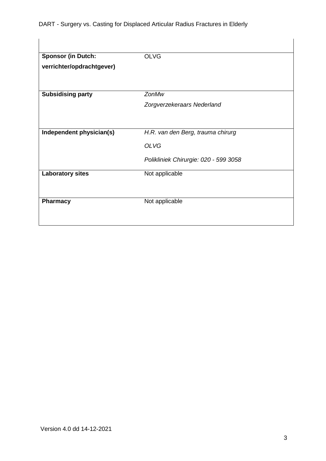DART - Surgery vs. Casting for Displaced Articular Radius Fractures in Elderly

| <b>Sponsor (in Dutch:</b> | <b>OLVG</b>                           |
|---------------------------|---------------------------------------|
| verrichter/opdrachtgever) |                                       |
| <b>Subsidising party</b>  | ZonMw                                 |
|                           | Zorgverzekeraars Nederland            |
| Independent physician(s)  | H.R. van den Berg, trauma chirurg     |
|                           | <b>OLVG</b>                           |
|                           | Polikliniek Chirurgie: 020 - 599 3058 |
| <b>Laboratory sites</b>   | Not applicable                        |
| <b>Pharmacy</b>           | Not applicable                        |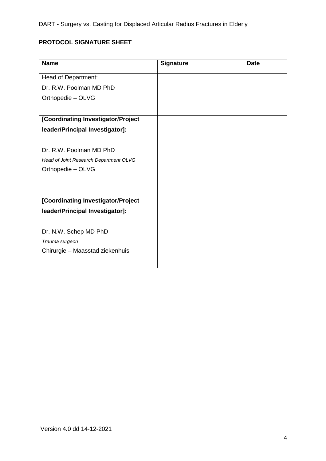DART - Surgery vs. Casting for Displaced Articular Radius Fractures in Elderly

# **PROTOCOL SIGNATURE SHEET**

| <b>Name</b>                            | <b>Signature</b> | <b>Date</b> |
|----------------------------------------|------------------|-------------|
| Head of Department:                    |                  |             |
| Dr. R.W. Poolman MD PhD                |                  |             |
| Orthopedie - OLVG                      |                  |             |
|                                        |                  |             |
| [Coordinating Investigator/Project     |                  |             |
| leader/Principal Investigator]:        |                  |             |
|                                        |                  |             |
| Dr. R.W. Poolman MD PhD                |                  |             |
| Head of Joint Research Department OLVG |                  |             |
| Orthopedie - OLVG                      |                  |             |
|                                        |                  |             |
|                                        |                  |             |
| [Coordinating Investigator/Project     |                  |             |
| leader/Principal Investigator]:        |                  |             |
|                                        |                  |             |
| Dr. N.W. Schep MD PhD                  |                  |             |
| Trauma surgeon                         |                  |             |
| Chirurgie - Maasstad ziekenhuis        |                  |             |
|                                        |                  |             |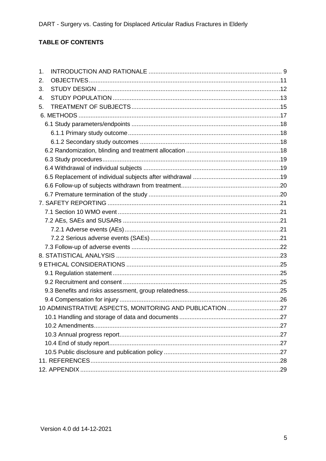# TABLE OF CONTENTS

| 1.                                                       |  |
|----------------------------------------------------------|--|
| 2.                                                       |  |
| 3.                                                       |  |
| 4.                                                       |  |
| 5.                                                       |  |
|                                                          |  |
|                                                          |  |
|                                                          |  |
|                                                          |  |
|                                                          |  |
|                                                          |  |
|                                                          |  |
|                                                          |  |
|                                                          |  |
|                                                          |  |
|                                                          |  |
|                                                          |  |
|                                                          |  |
|                                                          |  |
|                                                          |  |
|                                                          |  |
|                                                          |  |
|                                                          |  |
|                                                          |  |
|                                                          |  |
|                                                          |  |
|                                                          |  |
| 10 ADMINISTRATIVE ASPECTS, MONITORING AND PUBLICATION 27 |  |
|                                                          |  |
|                                                          |  |
|                                                          |  |
|                                                          |  |
|                                                          |  |
|                                                          |  |
|                                                          |  |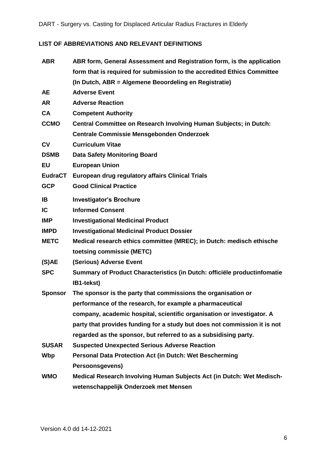# **LIST OF ABBREVIATIONS AND RELEVANT DEFINITIONS**

| <b>ABR</b>     | ABR form, General Assessment and Registration form, is the application    |  |  |  |
|----------------|---------------------------------------------------------------------------|--|--|--|
|                | form that is required for submission to the accredited Ethics Committee   |  |  |  |
|                | (In Dutch, ABR = Algemene Beoordeling en Registratie)                     |  |  |  |
| <b>AE</b>      | <b>Adverse Event</b>                                                      |  |  |  |
| <b>AR</b>      | <b>Adverse Reaction</b>                                                   |  |  |  |
| <b>CA</b>      | <b>Competent Authority</b>                                                |  |  |  |
| <b>CCMO</b>    | Central Committee on Research Involving Human Subjects; in Dutch:         |  |  |  |
|                | <b>Centrale Commissie Mensgebonden Onderzoek</b>                          |  |  |  |
| CV             | <b>Curriculum Vitae</b>                                                   |  |  |  |
| <b>DSMB</b>    | <b>Data Safety Monitoring Board</b>                                       |  |  |  |
| <b>EU</b>      | <b>European Union</b>                                                     |  |  |  |
| <b>EudraCT</b> | European drug regulatory affairs Clinical Trials                          |  |  |  |
| <b>GCP</b>     | <b>Good Clinical Practice</b>                                             |  |  |  |
| <b>IB</b>      | <b>Investigator's Brochure</b>                                            |  |  |  |
| <b>IC</b>      | <b>Informed Consent</b>                                                   |  |  |  |
| <b>IMP</b>     | <b>Investigational Medicinal Product</b>                                  |  |  |  |
| <b>IMPD</b>    | <b>Investigational Medicinal Product Dossier</b>                          |  |  |  |
| <b>METC</b>    | Medical research ethics committee (MREC); in Dutch: medisch ethische      |  |  |  |
|                | toetsing commissie (METC)                                                 |  |  |  |
| (S)AE          | (Serious) Adverse Event                                                   |  |  |  |
| <b>SPC</b>     | Summary of Product Characteristics (in Dutch: officiële productinfomatie  |  |  |  |
|                | IB1-tekst)                                                                |  |  |  |
| <b>Sponsor</b> | The sponsor is the party that commissions the organisation or             |  |  |  |
|                | performance of the research, for example a pharmaceutical                 |  |  |  |
|                | company, academic hospital, scientific organisation or investigator. A    |  |  |  |
|                | party that provides funding for a study but does not commission it is not |  |  |  |
|                | regarded as the sponsor, but referred to as a subsidising party.          |  |  |  |
| <b>SUSAR</b>   | <b>Suspected Unexpected Serious Adverse Reaction</b>                      |  |  |  |
| Wbp            | Personal Data Protection Act (in Dutch: Wet Bescherming                   |  |  |  |
|                | Persoonsgevens)                                                           |  |  |  |
| <b>WMO</b>     | Medical Research Involving Human Subjects Act (in Dutch: Wet Medisch-     |  |  |  |
|                | wetenschappelijk Onderzoek met Mensen                                     |  |  |  |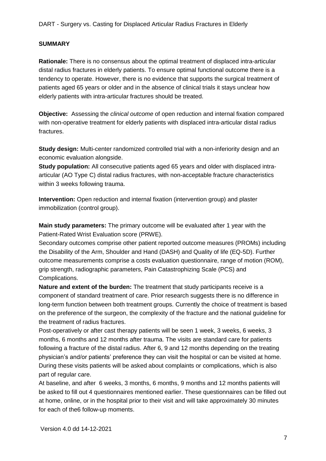### **SUMMARY**

**Rationale:** There is no consensus about the optimal treatment of displaced intra-articular distal radius fractures in elderly patients. To ensure optimal functional outcome there is a tendency to operate. However, there is no evidence that supports the surgical treatment of patients aged 65 years or older and in the absence of clinical trials it stays unclear how elderly patients with intra-articular fractures should be treated.

**Objective:** Assessing the *clinical outcome* of open reduction and internal fixation compared with non-operative treatment for elderly patients with displaced intra-articular distal radius fractures.

**Study design:** Multi-center randomized controlled trial with a non-inferiority design and an economic evaluation alongside.

**Study population:** All consecutive patients aged 65 years and older with displaced intraarticular (AO Type C) distal radius fractures, with non-acceptable fracture characteristics within 3 weeks following trauma.

**Intervention:** Open reduction and internal fixation (intervention group) and plaster immobilization (control group).

**Main study parameters:** The primary outcome will be evaluated after 1 year with the Patient-Rated Wrist Evaluation score (PRWE).

Secondary outcomes comprise other patient reported outcome measures (PROMs) including the Disability of the Arm, Shoulder and Hand (DASH) and Quality of life (EQ-5D). Further outcome measurements comprise a costs evaluation questionnaire, range of motion (ROM), grip strength, radiographic parameters, Pain Catastrophizing Scale (PCS) and Complications.

**Nature and extent of the burden:** The treatment that study participants receive is a component of standard treatment of care. Prior research suggests there is no difference in long-term function between both treatment groups. Currently the choice of treatment is based on the preference of the surgeon, the complexity of the fracture and the national guideline for the treatment of radius fractures.

Post-operatively or after cast therapy patients will be seen 1 week, 3 weeks, 6 weeks, 3 months, 6 months and 12 months after trauma. The visits are standard care for patients following a fracture of the distal radius. After 6, 9 and 12 months depending on the treating physician's and/or patients' preference they can visit the hospital or can be visited at home. During these visits patients will be asked about complaints or complications, which is also part of regular care.

At baseline, and after 6 weeks, 3 months, 6 months, 9 months and 12 months patients will be asked to fill out 4 questionnaires mentioned earlier. These questionnaires can be filled out at home, online, or in the hospital prior to their visit and will take approximately 30 minutes for each of the6 follow-up moments.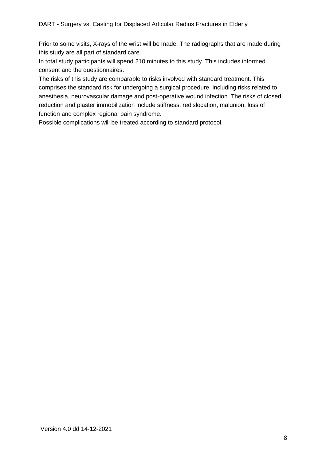Prior to some visits, X-rays of the wrist will be made. The radiographs that are made during this study are all part of standard care.

In total study participants will spend 210 minutes to this study. This includes informed consent and the questionnaires.

The risks of this study are comparable to risks involved with standard treatment. This comprises the standard risk for undergoing a surgical procedure, including risks related to anesthesia, neurovascular damage and post-operative wound infection. The risks of closed reduction and plaster immobilization include stiffness, redislocation, malunion, loss of function and complex regional pain syndrome.

Possible complications will be treated according to standard protocol.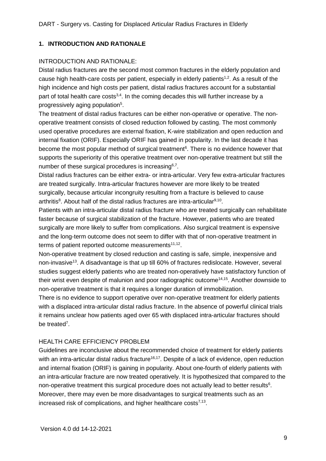# <span id="page-8-0"></span>**1. INTRODUCTION AND RATIONALE**

### INTRODUCTION AND RATIONALE:

Distal radius fractures are the second most common fractures in the elderly population and cause high health-care costs per patient, especially in elderly patients<sup>1,2</sup>. As a result of the high incidence and high costs per patient, distal radius fractures account for a substantial part of total health care costs<sup>3,4</sup>. In the coming decades this will further increase by a progressively aging population<sup>5</sup>.

The treatment of distal radius fractures can be either non-operative or operative. The nonoperative treatment consists of closed reduction followed by casting. The most commonly used operative procedures are external fixation, K-wire stabilization and open reduction and internal fixation (ORIF). Especially ORIF has gained in popularity. In the last decade it has become the most popular method of surgical treatment<sup>6</sup>. There is no evidence however that supports the superiority of this operative treatment over non-operative treatment but still the number of these surgical procedures is increasing<sup>6,7</sup>.

Distal radius fractures can be either extra- or intra-articular. Very few extra-articular fractures are treated surgically. Intra-articular fractures however are more likely to be treated surgically, because articular incongruity resulting from a fracture is believed to cause arthritis<sup>8</sup>. About half of the distal radius fractures are intra-articular<sup>9,10</sup>.

Patients with an intra-articular distal radius fracture who are treated surgically can rehabilitate faster because of surgical stabilization of the fracture. However, patients who are treated surgically are more likely to suffer from complications. Also surgical treatment is expensive and the long-term outcome does not seem to differ with that of non-operative treatment in terms of patient reported outcome measurements<sup>11,12</sup>.

Non-operative treatment by closed reduction and casting is safe, simple, inexpensive and non-invasive<sup>13</sup>. A disadvantage is that up till 60% of fractures redislocate. However, several studies suggest elderly patients who are treated non-operatively have satisfactory function of their wrist even despite of malunion and poor radiographic outcome<sup>14,15</sup>. Another downside to non-operative treatment is that it requires a longer duration of immobilization.

There is no evidence to support operative over non-operative treatment for elderly patients with a displaced intra-articular distal radius fracture. In the absence of powerful clinical trials it remains unclear how patients aged over 65 with displaced intra-articular fractures should be treated<sup>7</sup>.

### HEALTH CARE EFFICIENCY PROBLEM

Guidelines are inconclusive about the recommended choice of treatment for elderly patients with an intra-articular distal radius fracture<sup>16,17</sup>. Despite of a lack of evidence, open reduction and internal fixation (ORIF) is gaining in popularity. About one-fourth of elderly patients with an intra-articular fracture are now treated operatively. It is hypothesized that compared to the non-operative treatment this surgical procedure does not actually lead to better results $<sup>6</sup>$ .</sup> Moreover, there may even be more disadvantages to surgical treatments such as an increased risk of complications, and higher healthcare costs $^{7,13}$ .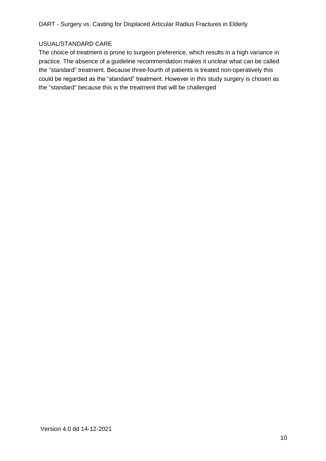### USUAL/STANDARD CARE

The choice of treatment is prone to surgeon preference, which results in a high variance in practice. The absence of a guideline recommendation makes it unclear what can be called the "standard" treatment. Because three-fourth of patients is treated non-operatively this could be regarded as the "standard" treatment. However in this study surgery is chosen as the "standard" because this is the treatment that will be challenged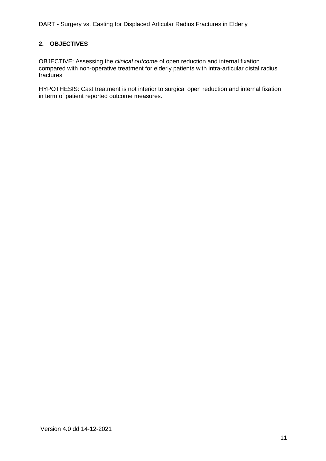# <span id="page-10-0"></span>**2. OBJECTIVES**

OBJECTIVE: Assessing the *clinical outcome* of open reduction and internal fixation compared with non-operative treatment for elderly patients with intra-articular distal radius fractures.

HYPOTHESIS: Cast treatment is not inferior to surgical open reduction and internal fixation in term of patient reported outcome measures.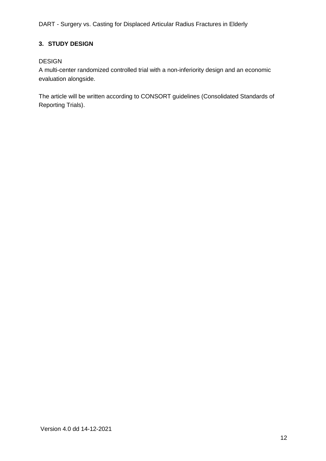# <span id="page-11-0"></span>**3. STUDY DESIGN**

## DESIGN

A multi-center randomized controlled trial with a non-inferiority design and an economic evaluation alongside.

The article will be written according to CONSORT guidelines (Consolidated Standards of Reporting Trials).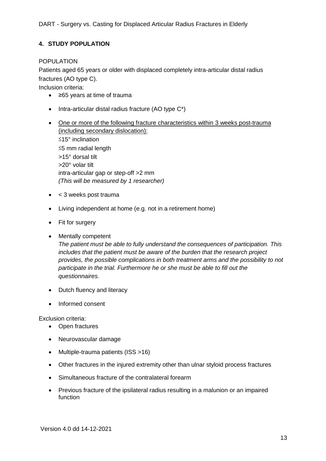# <span id="page-12-0"></span>**4. STUDY POPULATION**

### POPULATION

Patients aged 65 years or older with displaced completely intra-articular distal radius fractures (AO type C).

Inclusion criteria:

- ≥65 years at time of trauma
- $\bullet$  Intra-articular distal radius fracture (AO type  $C^*$ )
- One or more of the following fracture characteristics within 3 weeks post-trauma (including secondary dislocation): ≤15° inclination ≤5 mm radial length >15° dorsal tilt >20° volar tilt intra-articular gap or step-off >2 mm *(This will be measured by 1 researcher)*
- $\bullet$  < 3 weeks post trauma
- Living independent at home (e.g. not in a retirement home)
- Fit for surgery
- Mentally competent

*The patient must be able to fully understand the consequences of participation. This includes that the patient must be aware of the burden that the research project provides, the possible complications in both treatment arms and the possibility to not participate in the trial. Furthermore he or she must be able to fill out the questionnaires.*

- Dutch fluency and literacy
- Informed consent

Exclusion criteria:

- Open fractures
- Neurovascular damage
- Multiple-trauma patients (ISS >16)
- Other fractures in the injured extremity other than ulnar styloid process fractures
- Simultaneous fracture of the contralateral forearm
- Previous fracture of the ipsilateral radius resulting in a malunion or an impaired function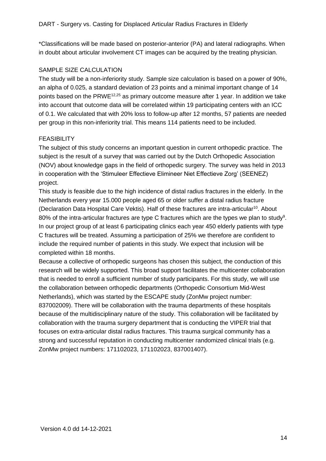\*Classifications will be made based on posterior-anterior (PA) and lateral radiographs. When in doubt about articular involvement CT images can be acquired by the treating physician.

### SAMPLE SIZE CALCULATION

The study will be a non-inferiority study. Sample size calculation is based on a power of 90%, an alpha of 0.025, a standard deviation of 23 points and a minimal important change of 14 points based on the PRWE12,25 as primary outcome measure after 1 year. In addition we take into account that outcome data will be correlated within 19 participating centers with an ICC of 0.1. We calculated that with 20% loss to follow-up after 12 months, 57 patients are needed per group in this non-inferiority trial. This means 114 patients need to be included.

### FEASIBILITY

The subject of this study concerns an important question in current orthopedic practice. The subject is the result of a survey that was carried out by the Dutch Orthopedic Association (NOV) about knowledge gaps in the field of orthopedic surgery. The survey was held in 2013 in cooperation with the 'Stimuleer Effectieve Elimineer Niet Effectieve Zorg' (SEENEZ) project.

This study is feasible due to the high incidence of distal radius fractures in the elderly. In the Netherlands every year 15.000 people aged 65 or older suffer a distal radius fracture (Declaration Data Hospital Care Vektis). Half of these fractures are intra-articular<sup>10</sup>. About 80% of the intra-articular fractures are type C fractures which are the types we plan to study<sup>9</sup>. In our project group of at least 6 participating clinics each year 450 elderly patients with type C fractures will be treated. Assuming a participation of 25% we therefore are confident to include the required number of patients in this study. We expect that inclusion will be completed within 18 months.

Because a collective of orthopedic surgeons has chosen this subject, the conduction of this research will be widely supported. This broad support facilitates the multicenter collaboration that is needed to enroll a sufficient number of study participants. For this study, we will use the collaboration between orthopedic departments (Orthopedic Consortium Mid-West Netherlands), which was started by the ESCAPE study (ZonMw project number: 837002009). There will be collaboration with the trauma departments of these hospitals because of the multidisciplinary nature of the study. This collaboration will be facilitated by collaboration with the trauma surgery department that is conducting the VIPER trial that focuses on extra-articular distal radius fractures. This trauma surgical community has a strong and successful reputation in conducting multicenter randomized clinical trials (e.g. ZonMw project numbers: 171102023, 171102023, 837001407).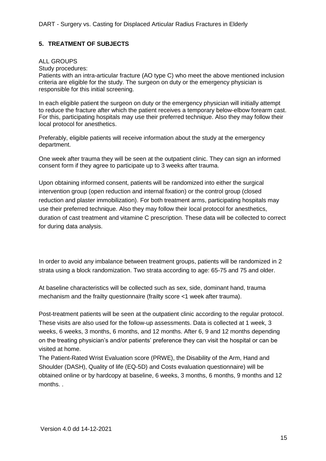## <span id="page-14-0"></span>**5. TREATMENT OF SUBJECTS**

#### ALL GROUPS

Study procedures:

Patients with an intra-articular fracture (AO type C) who meet the above mentioned inclusion criteria are eligible for the study. The surgeon on duty or the emergency physician is responsible for this initial screening.

In each eligible patient the surgeon on duty or the emergency physician will initially attempt to reduce the fracture after which the patient receives a temporary below-elbow forearm cast. For this, participating hospitals may use their preferred technique. Also they may follow their local protocol for anesthetics.

Preferably, eligible patients will receive information about the study at the emergency department.

One week after trauma they will be seen at the outpatient clinic. They can sign an informed consent form if they agree to participate up to 3 weeks after trauma.

Upon obtaining informed consent, patients will be randomized into either the surgical intervention group (open reduction and internal fixation) or the control group (closed reduction and plaster immobilization). For both treatment arms, participating hospitals may use their preferred technique. Also they may follow their local protocol for anesthetics, duration of cast treatment and vitamine C prescription. These data will be collected to correct for during data analysis.

In order to avoid any imbalance between treatment groups, patients will be randomized in 2 strata using a block randomization. Two strata according to age: 65-75 and 75 and older.

At baseline characteristics will be collected such as sex, side, dominant hand, trauma mechanism and the frailty questionnaire (frailty score <1 week after trauma).

Post-treatment patients will be seen at the outpatient clinic according to the regular protocol. These visits are also used for the follow-up assessments. Data is collected at 1 week, 3 weeks, 6 weeks, 3 months, 6 months, and 12 months. After 6, 9 and 12 months depending on the treating physician's and/or patients' preference they can visit the hospital or can be visited at home.

The Patient-Rated Wrist Evaluation score (PRWE), the Disability of the Arm, Hand and Shoulder (DASH), Quality of life (EQ-5D) and Costs evaluation questionnaire) will be obtained online or by hardcopy at baseline, 6 weeks, 3 months, 6 months, 9 months and 12 months. .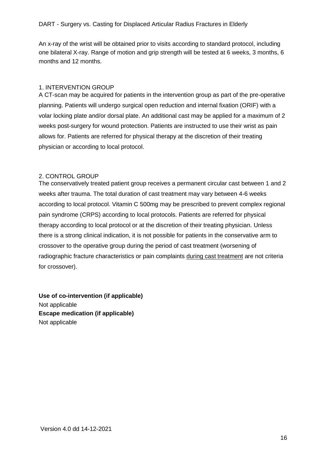An x-ray of the wrist will be obtained prior to visits according to standard protocol, including one bilateral X-ray. Range of motion and grip strength will be tested at 6 weeks, 3 months, 6 months and 12 months.

### 1. INTERVENTION GROUP

A CT-scan may be acquired for patients in the intervention group as part of the pre-operative planning. Patients will undergo surgical open reduction and internal fixation (ORIF) with a volar locking plate and/or dorsal plate. An additional cast may be applied for a maximum of 2 weeks post-surgery for wound protection. Patients are instructed to use their wrist as pain allows for. Patients are referred for physical therapy at the discretion of their treating physician or according to local protocol.

### 2. CONTROL GROUP

The conservatively treated patient group receives a permanent circular cast between 1 and 2 weeks after trauma. The total duration of cast treatment may vary between 4-6 weeks according to local protocol. Vitamin C 500mg may be prescribed to prevent complex regional pain syndrome (CRPS) according to local protocols. Patients are referred for physical therapy according to local protocol or at the discretion of their treating physician. Unless there is a strong clinical indication, it is not possible for patients in the conservative arm to crossover to the operative group during the period of cast treatment (worsening of radiographic fracture characteristics or pain complaints during cast treatment are not criteria for crossover).

**Use of co-intervention (if applicable)** Not applicable **Escape medication (if applicable)** Not applicable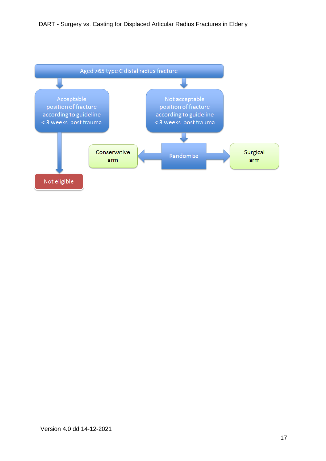<span id="page-16-0"></span>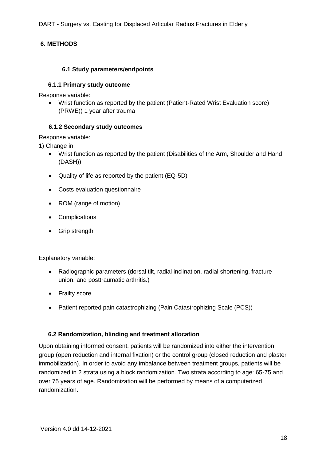## <span id="page-17-0"></span>**6. METHODS**

### **6.1 Study parameters/endpoints**

### <span id="page-17-1"></span>**6.1.1 Primary study outcome**

Response variable:

 Wrist function as reported by the patient (Patient-Rated Wrist Evaluation score) (PRWE)) 1 year after trauma

### <span id="page-17-2"></span>**6.1.2 Secondary study outcomes**

Response variable:

1) Change in:

- Wrist function as reported by the patient (Disabilities of the Arm, Shoulder and Hand (DASH))
- Quality of life as reported by the patient (EQ-5D)
- Costs evaluation questionnaire
- ROM (range of motion)
- Complications
- Grip strength

Explanatory variable:

- Radiographic parameters (dorsal tilt, radial inclination, radial shortening, fracture union, and posttraumatic arthritis.)
- Frailty score
- Patient reported pain catastrophizing (Pain Catastrophizing Scale (PCS))

#### <span id="page-17-3"></span>**6.2 Randomization, blinding and treatment allocation**

Upon obtaining informed consent, patients will be randomized into either the intervention group (open reduction and internal fixation) or the control group (closed reduction and plaster immobilization). In order to avoid any imbalance between treatment groups, patients will be randomized in 2 strata using a block randomization. Two strata according to age: 65-75 and over 75 years of age. Randomization will be performed by means of a computerized randomization.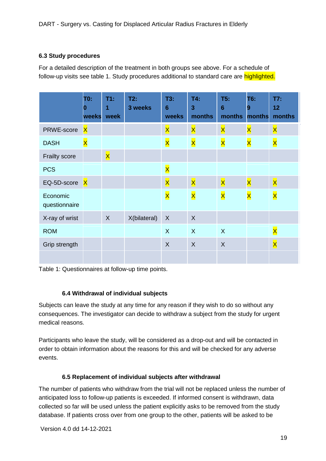### <span id="page-18-0"></span>**6.3 Study procedures**

For a detailed description of the treatment in both groups see above. For a schedule of follow-up visits see table 1. Study procedures additional to standard care are highlighted.

|                           | T0:<br>0<br>weeks       | T1:<br>1<br>week        | T2:<br>3 weeks | T3:<br>$6\phantom{1}$<br>weeks | T4.<br>3<br>months      | T5:<br>$6\phantom{1}6$<br>months | T6:<br>9<br>months      | T7:<br>12<br>months     |
|---------------------------|-------------------------|-------------------------|----------------|--------------------------------|-------------------------|----------------------------------|-------------------------|-------------------------|
| PRWE-score                | $\mathsf{\overline{X}}$ |                         |                | $\mathsf{\overline{X}}$        | $\mathsf{\overline{X}}$ | $\mathsf{\overline{X}}$          | $\overline{\mathsf{x}}$ | $\mathsf{\overline{X}}$ |
| <b>DASH</b>               | $\overline{\mathsf{x}}$ |                         |                | $\mathsf{\overline{X}}$        | $\overline{\mathsf{X}}$ | $\overline{\mathsf{X}}$          | $\overline{\mathsf{X}}$ | $\overline{\mathsf{X}}$ |
| <b>Frailty score</b>      |                         | $\mathsf{\overline{X}}$ |                |                                |                         |                                  |                         |                         |
| <b>PCS</b>                |                         |                         |                | $\mathsf{\overline{X}}$        |                         |                                  |                         |                         |
| EQ-5D-score               | $\mathsf{\overline{X}}$ |                         |                | $\mathsf{x}$                   | $\overline{\mathsf{x}}$ | $\mathsf{\overline{X}}$          | $\overline{\mathsf{x}}$ | $\mathsf{x}$            |
| Economic<br>questionnaire |                         |                         |                | $\mathsf{\overline{X}}$        | $\overline{\mathsf{X}}$ | $\overline{\mathsf{X}}$          | $\overline{\mathsf{x}}$ | $\overline{\mathsf{x}}$ |
| X-ray of wrist            |                         | X                       | X(bilateral)   | $\sf X$                        | $\boldsymbol{X}$        |                                  |                         |                         |
| <b>ROM</b>                |                         |                         |                | $\sf X$                        | $\sf X$                 | $\sf X$                          |                         | $\mathsf{\overline{X}}$ |
| Grip strength             |                         |                         |                | $\sf X$                        | X                       | $\sf X$                          |                         | $\mathbf{x}$            |
|                           |                         |                         |                |                                |                         |                                  |                         |                         |

Table 1: Questionnaires at follow-up time points.

### **6.4 Withdrawal of individual subjects**

<span id="page-18-1"></span>Subjects can leave the study at any time for any reason if they wish to do so without any consequences. The investigator can decide to withdraw a subject from the study for urgent medical reasons.

Participants who leave the study, will be considered as a drop-out and will be contacted in order to obtain information about the reasons for this and will be checked for any adverse events.

### **6.5 Replacement of individual subjects after withdrawal**

<span id="page-18-2"></span>The number of patients who withdraw from the trial will not be replaced unless the number of anticipated loss to follow-up patients is exceeded. If informed consent is withdrawn, data collected so far will be used unless the patient explicitly asks to be removed from the study database. If patients cross over from one group to the other, patients will be asked to be

Version 4.0 dd 14-12-2021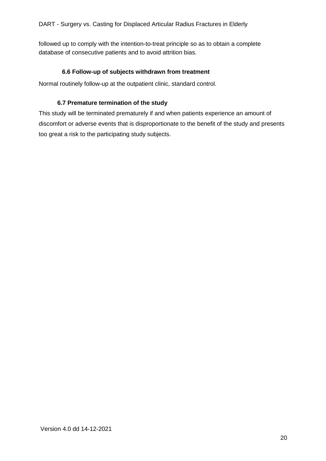followed up to comply with the intention-to-treat principle so as to obtain a complete database of consecutive patients and to avoid attrition bias.

### **6.6 Follow-up of subjects withdrawn from treatment**

<span id="page-19-0"></span>Normal routinely follow-up at the outpatient clinic, standard control.

### **6.7 Premature termination of the study**

<span id="page-19-1"></span>This study will be terminated prematurely if and when patients experience an amount of discomfort or adverse events that is disproportionate to the benefit of the study and presents too great a risk to the participating study subjects.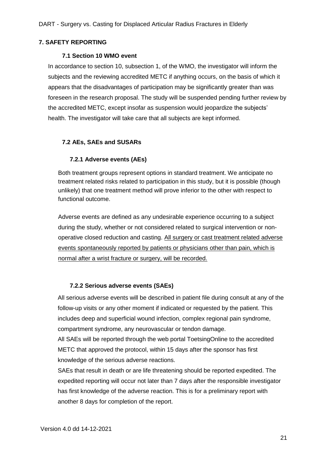#### <span id="page-20-1"></span><span id="page-20-0"></span>**7. SAFETY REPORTING**

#### **7.1 Section 10 WMO event**

In accordance to section 10, subsection 1, of the WMO, the investigator will inform the subjects and the reviewing accredited METC if anything occurs, on the basis of which it appears that the disadvantages of participation may be significantly greater than was foreseen in the research proposal. The study will be suspended pending further review by the accredited METC, except insofar as suspension would jeopardize the subjects' health. The investigator will take care that all subjects are kept informed.

### <span id="page-20-3"></span><span id="page-20-2"></span>**7.2 AEs, SAEs and SUSARs**

### **7.2.1 Adverse events (AEs)**

Both treatment groups represent options in standard treatment. We anticipate no treatment related risks related to participation in this study, but it is possible (though unlikely) that one treatment method will prove inferior to the other with respect to functional outcome.

Adverse events are defined as any undesirable experience occurring to a subject during the study, whether or not considered related to surgical intervention or nonoperative closed reduction and casting. All surgery or cast treatment related adverse events spontaneously reported by patients or physicians other than pain, which is normal after a wrist fracture or surgery, will be recorded.

#### **7.2.2 Serious adverse events (SAEs)**

<span id="page-20-4"></span>All serious adverse events will be described in patient file during consult at any of the follow-up visits or any other moment if indicated or requested by the patient. This includes deep and superficial wound infection, complex regional pain syndrome, compartment syndrome, any neurovascular or tendon damage.

All SAEs will be reported through the web portal ToetsingOnline to the accredited METC that approved the protocol, within 15 days after the sponsor has first knowledge of the serious adverse reactions.

SAEs that result in death or are life threatening should be reported expedited. The expedited reporting will occur not later than 7 days after the responsible investigator has first knowledge of the adverse reaction. This is for a preliminary report with another 8 days for completion of the report.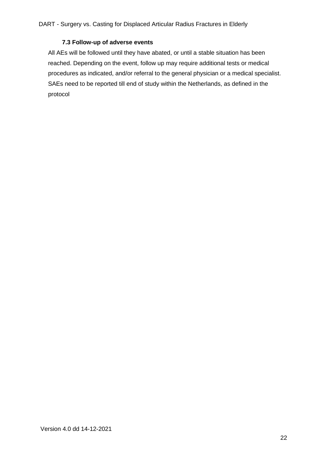### **7.3 Follow-up of adverse events**

<span id="page-21-0"></span>All AEs will be followed until they have abated, or until a stable situation has been reached. Depending on the event, follow up may require additional tests or medical procedures as indicated, and/or referral to the general physician or a medical specialist. SAEs need to be reported till end of study within the Netherlands, as defined in the protocol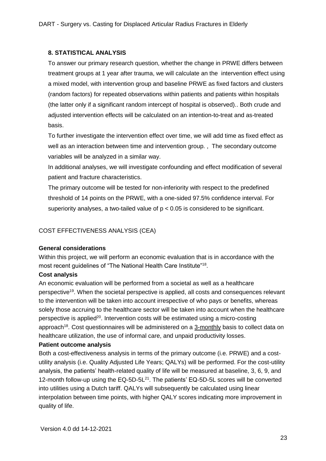## <span id="page-22-0"></span>**8. STATISTICAL ANALYSIS**

To answer our primary research question, whether the change in PRWE differs between treatment groups at 1 year after trauma, we will calculate an the intervention effect using a mixed model, with intervention group and baseline PRWE as fixed factors and clusters (random factors) for repeated observations within patients and patients within hospitals (the latter only if a significant random intercept of hospital is observed).. Both crude and adjusted intervention effects will be calculated on an intention-to-treat and as-treated basis.

To further investigate the intervention effect over time, we will add time as fixed effect as well as an interaction between time and intervention group. , The secondary outcome variables will be analyzed in a similar way.

In additional analyses, we will investigate confounding and effect modification of several patient and fracture characteristics.

The primary outcome will be tested for non-inferiority with respect to the predefined threshold of 14 points on the PRWE, with a one-sided 97.5% confidence interval. For superiority analyses, a two-tailed value of  $p < 0.05$  is considered to be significant.

# COST EFFECTIVENESS ANALYSIS (CEA)

### **General considerations**

Within this project, we will perform an economic evaluation that is in accordance with the most recent guidelines of "The National Health Care Institute"<sup>18</sup>.

### **Cost analysis**

An economic evaluation will be performed from a societal as well as a healthcare perspective<sup>19</sup>. When the societal perspective is applied, all costs and consequences relevant to the intervention will be taken into account irrespective of who pays or benefits, whereas solely those accruing to the healthcare sector will be taken into account when the healthcare perspective is applied<sup>20</sup>. Intervention costs will be estimated using a micro-costing approach<sup>18</sup>. Cost questionnaires will be administered on a 3-monthly basis to collect data on healthcare utilization, the use of informal care, and unpaid productivity losses.

### **Patient outcome analysis**

Both a cost-effectiveness analysis in terms of the primary outcome (i.e. PRWE) and a costutility analysis (i.e. Quality Adjusted Life Years; QALYs) will be performed. For the cost-utility analysis, the patients' health-related quality of life will be measured at baseline, 3, 6, 9, and 12-month follow-up using the EQ-5D-5L<sup>21</sup>. The patients' EQ-5D-5L scores will be converted into utilities using a Dutch tariff. QALYs will subsequently be calculated using linear interpolation between time points, with higher QALY scores indicating more improvement in quality of life.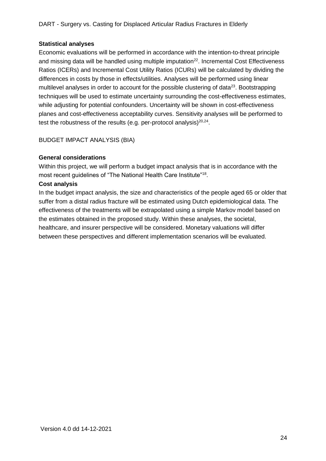### **Statistical analyses**

Economic evaluations will be performed in accordance with the intention-to-threat principle and missing data will be handled using multiple imputation<sup>22</sup>. Incremental Cost Effectiveness Ratios (ICERs) and Incremental Cost Utility Ratios (ICURs) will be calculated by dividing the differences in costs by those in effects/utilities. Analyses will be performed using linear multilevel analyses in order to account for the possible clustering of data<sup>23</sup>. Bootstrapping techniques will be used to estimate uncertainty surrounding the cost-effectiveness estimates, while adjusting for potential confounders. Uncertainty will be shown in cost-effectiveness planes and cost-effectiveness acceptability curves. Sensitivity analyses will be performed to test the robustness of the results (e.g. per-protocol analysis) $^{20,24}$ .

BUDGET IMPACT ANALYSIS (BIA)

### **General considerations**

Within this project, we will perform a budget impact analysis that is in accordance with the most recent guidelines of "The National Health Care Institute"<sup>18</sup>.

### **Cost analysis**

In the budget impact analysis, the size and characteristics of the people aged 65 or older that suffer from a distal radius fracture will be estimated using Dutch epidemiological data. The effectiveness of the treatments will be extrapolated using a simple Markov model based on the estimates obtained in the proposed study. Within these analyses, the societal, healthcare, and insurer perspective will be considered. Monetary valuations will differ between these perspectives and different implementation scenarios will be evaluated.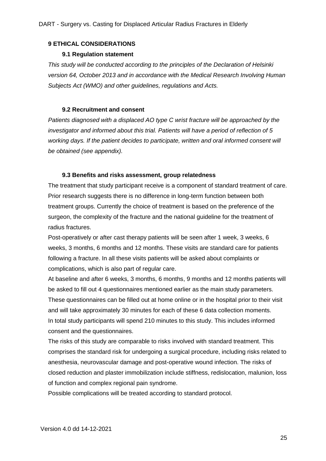### <span id="page-24-1"></span><span id="page-24-0"></span>**9 ETHICAL CONSIDERATIONS**

### **9.1 Regulation statement**

*This study will be conducted according to the principles of the Declaration of Helsinki version 64, October 2013 and in accordance with the Medical Research Involving Human Subjects Act (WMO) and other guidelines, regulations and Acts.*

#### **9.2 Recruitment and consent**

<span id="page-24-2"></span>*Patients diagnosed with a displaced AO type C wrist fracture will be approached by the investigator and informed about this trial. Patients will have a period of reflection of 5 working days. If the patient decides to participate, written and oral informed consent will be obtained (see appendix).*

#### **9.3 Benefits and risks assessment, group relatedness**

<span id="page-24-3"></span>The treatment that study participant receive is a component of standard treatment of care. Prior research suggests there is no difference in long-term function between both treatment groups. Currently the choice of treatment is based on the preference of the surgeon, the complexity of the fracture and the national guideline for the treatment of radius fractures.

Post-operatively or after cast therapy patients will be seen after 1 week, 3 weeks, 6 weeks, 3 months, 6 months and 12 months. These visits are standard care for patients following a fracture. In all these visits patients will be asked about complaints or complications, which is also part of regular care.

At baseline and after 6 weeks, 3 months, 6 months, 9 months and 12 months patients will be asked to fill out 4 questionnaires mentioned earlier as the main study parameters. These questionnaires can be filled out at home online or in the hospital prior to their visit and will take approximately 30 minutes for each of these 6 data collection moments. In total study participants will spend 210 minutes to this study. This includes informed consent and the questionnaires.

The risks of this study are comparable to risks involved with standard treatment. This comprises the standard risk for undergoing a surgical procedure, including risks related to anesthesia, neurovascular damage and post-operative wound infection. The risks of closed reduction and plaster immobilization include stiffness, redislocation, malunion, loss of function and complex regional pain syndrome.

Possible complications will be treated according to standard protocol.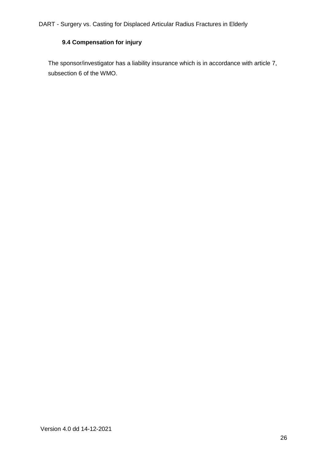# **9.4 Compensation for injury**

<span id="page-25-0"></span>The sponsor/investigator has a liability insurance which is in accordance with article 7, subsection 6 of the WMO.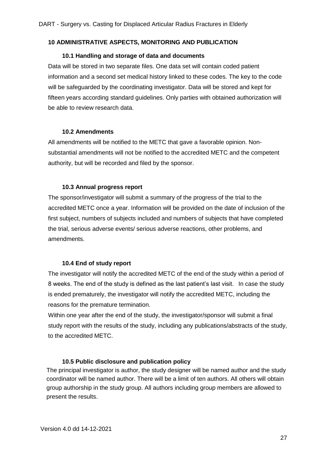#### <span id="page-26-1"></span><span id="page-26-0"></span>**10 ADMINISTRATIVE ASPECTS, MONITORING AND PUBLICATION**

#### **10.1 Handling and storage of data and documents**

Data will be stored in two separate files. One data set will contain coded patient information and a second set medical history linked to these codes. The key to the code will be safeguarded by the coordinating investigator. Data will be stored and kept for fifteen years according standard guidelines. Only parties with obtained authorization will be able to review research data.

#### **10.2 Amendments**

<span id="page-26-2"></span>All amendments will be notified to the METC that gave a favorable opinion. Nonsubstantial amendments will not be notified to the accredited METC and the competent authority, but will be recorded and filed by the sponsor.

#### **10.3 Annual progress report**

<span id="page-26-3"></span>The sponsor/investigator will submit a summary of the progress of the trial to the accredited METC once a year. Information will be provided on the date of inclusion of the first subject, numbers of subjects included and numbers of subjects that have completed the trial, serious adverse events/ serious adverse reactions, other problems, and amendments.

#### **10.4 End of study report**

<span id="page-26-4"></span>The investigator will notify the accredited METC of the end of the study within a period of 8 weeks. The end of the study is defined as the last patient's last visit. In case the study is ended prematurely, the investigator will notify the accredited METC, including the reasons for the premature termination.

Within one year after the end of the study, the investigator/sponsor will submit a final study report with the results of the study, including any publications/abstracts of the study, to the accredited METC.

#### **10.5 Public disclosure and publication policy**

<span id="page-26-5"></span>The principal investigator is author, the study designer will be named author and the study coordinator will be named author. There will be a limit of ten authors. All others will obtain group authorship in the study group. All authors including group members are allowed to present the results.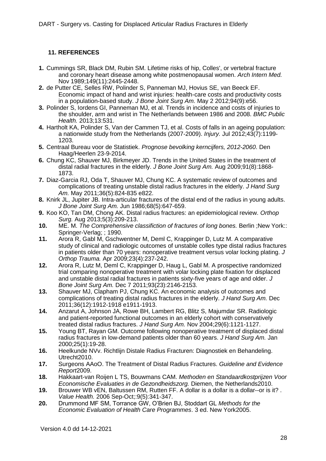## <span id="page-27-0"></span>**11. REFERENCES**

- **1.** Cummings SR, Black DM, Rubin SM. Lifetime risks of hip, Colles', or vertebral fracture and coronary heart disease among white postmenopausal women. *Arch Intern Med.*  Nov 1989;149(11):2445-2448.
- **2.** de Putter CE, Selles RW, Polinder S, Panneman MJ, Hovius SE, van Beeck EF. Economic impact of hand and wrist injuries: health-care costs and productivity costs in a population-based study. *J Bone Joint Surg Am.* May 2 2012;94(9):e56.
- **3.** Polinder S, Iordens GI, Panneman MJ, et al. Trends in incidence and costs of injuries to the shoulder, arm and wrist in The Netherlands between 1986 and 2008. *BMC Public Health.* 2013;13:531.
- **4.** Hartholt KA, Polinder S, Van der Cammen TJ, et al. Costs of falls in an ageing population: a nationwide study from the Netherlands (2007-2009). *Injury.* Jul 2012;43(7):1199- 1203.
- **5.** Centraal Bureau voor de Statistiek. *Prognose bevolking kerncijfers, 2012-2060*. Den Haag/Heerlen 23-9-2014.
- **6.** Chung KC, Shauver MJ, Birkmeyer JD. Trends in the United States in the treatment of distal radial fractures in the elderly. *J Bone Joint Surg Am.* Aug 2009;91(8):1868- 1873.
- **7.** Diaz-Garcia RJ, Oda T, Shauver MJ, Chung KC. A systematic review of outcomes and complications of treating unstable distal radius fractures in the elderly. *J Hand Surg Am.* May 2011;36(5):824-835 e822.
- **8.** Knirk JL, Jupiter JB. Intra-articular fractures of the distal end of the radius in young adults. *J Bone Joint Surg Am.* Jun 1986;68(5):647-659.
- **9.** Koo KO, Tan DM, Chong AK. Distal radius fractures: an epidemiological review. *Orthop Surg.* Aug 2013;5(3):209-213.
- **10.** ME. M. *The Comprehensive classifiction of fractures of long bones.* Berlin ;New York:: Springer-Verlag; ; 1990.
- **11.** Arora R, Gabl M, Gschwentner M, Deml C, Krappinger D, Lutz M. A comparative study of clinical and radiologic outcomes of unstable colles type distal radius fractures in patients older than 70 years: nonoperative treatment versus volar locking plating. *J Orthop Trauma.* Apr 2009;23(4):237-242.
- **12.** Arora R, Lutz M, Deml C, Krappinger D, Haug L, Gabl M. A prospective randomized trial comparing nonoperative treatment with volar locking plate fixation for displaced and unstable distal radial fractures in patients sixty-five years of age and older. *J Bone Joint Surg Am.* Dec 7 2011;93(23):2146-2153.
- **13.** Shauver MJ, Clapham PJ, Chung KC. An economic analysis of outcomes and complications of treating distal radius fractures in the elderly. *J Hand Surg Am.* Dec 2011;36(12):1912-1918 e1911-1913.
- **14.** Anzarut A, Johnson JA, Rowe BH, Lambert RG, Blitz S, Majumdar SR. Radiologic and patient-reported functional outcomes in an elderly cohort with conservatively treated distal radius fractures. *J Hand Surg Am.* Nov 2004;29(6):1121-1127.
- **15.** Young BT, Rayan GM. Outcome following nonoperative treatment of displaced distal radius fractures in low-demand patients older than 60 years. *J Hand Surg Am.* Jan 2000;25(1):19-28.
- **16.** Heelkunde NVv. Richtlijn Distale Radius Fracturen: Diagnostiek en Behandeling. Utrecht2010.
- **17.** Surgeons AAoO. The Treatment of Distal Radius Fractures. *Guideline and Evidence Report*2009.
- **18.** Hakkaart-van Roijen L TS, Bouwmans CAM. *Methoden en Standaardkostprijzen Voor Economische Evaluaties in de Gezondheidszorg.* Diemen, the Netherlands2010.
- **19.** Brouwer WB vEN, Baltussen RM, Rutten FF. A dollar is a dollar is a dollar--or is it? . *Value Health.* 2006 Sep-Oct;:9(5):341-347.
- **20.** Drummond MF SM, Torrance GW, O'Brien BJ, Stoddart GL *Methods for the Economic Evaluation of Health Care Programmes*. 3 ed. New York2005.